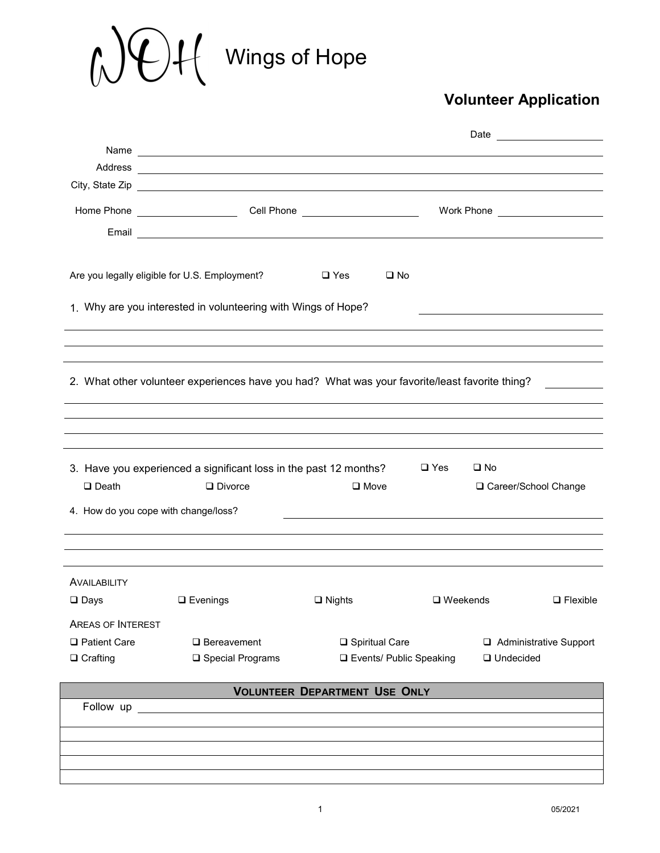# Wings of Hope

## **Volunteer Application**

|                                                      | Address <u>Contract of the contract of the contract of the contract of the contract of the contract of the contract of the contract of the contract of the contract of the contract of the contract of the contract of the contr</u> |                                            |                                |             |                 |
|------------------------------------------------------|--------------------------------------------------------------------------------------------------------------------------------------------------------------------------------------------------------------------------------------|--------------------------------------------|--------------------------------|-------------|-----------------|
|                                                      |                                                                                                                                                                                                                                      |                                            |                                |             |                 |
|                                                      |                                                                                                                                                                                                                                      |                                            |                                |             |                 |
|                                                      |                                                                                                                                                                                                                                      |                                            |                                |             |                 |
|                                                      |                                                                                                                                                                                                                                      |                                            |                                |             |                 |
|                                                      | Are you legally eligible for U.S. Employment?                                                                                                                                                                                        | $\square$ Yes                              | $\square$ No                   |             |                 |
|                                                      | 1. Why are you interested in volunteering with Wings of Hope?                                                                                                                                                                        |                                            |                                |             |                 |
|                                                      |                                                                                                                                                                                                                                      |                                            |                                |             |                 |
|                                                      |                                                                                                                                                                                                                                      |                                            |                                |             |                 |
|                                                      |                                                                                                                                                                                                                                      |                                            |                                |             |                 |
|                                                      | 2. What other volunteer experiences have you had? What was your favorite/least favorite thing?                                                                                                                                       |                                            |                                |             |                 |
|                                                      |                                                                                                                                                                                                                                      |                                            |                                |             |                 |
|                                                      |                                                                                                                                                                                                                                      |                                            |                                |             |                 |
|                                                      |                                                                                                                                                                                                                                      |                                            |                                |             |                 |
| $\Box$ Death<br>4. How do you cope with change/loss? | 3. Have you experienced a significant loss in the past 12 months? $\Box$ Yes<br>$\square$ No<br>$\square$ Move<br>$\Box$ Divorce<br>□ Career/School Change                                                                           |                                            |                                |             |                 |
|                                                      |                                                                                                                                                                                                                                      |                                            |                                |             |                 |
|                                                      |                                                                                                                                                                                                                                      |                                            |                                |             |                 |
|                                                      |                                                                                                                                                                                                                                      |                                            |                                |             |                 |
| AVAILABILITY                                         |                                                                                                                                                                                                                                      |                                            |                                |             |                 |
| $\square$ Days                                       | $\Box$ Evenings                                                                                                                                                                                                                      | $\Box$ Nights                              | $\square$ Weekends             |             | $\Box$ Flexible |
| <b>AREAS OF INTEREST</b>                             |                                                                                                                                                                                                                                      |                                            |                                |             |                 |
| □ Patient Care                                       | $\Box$ Bereavement                                                                                                                                                                                                                   | □ Spiritual Care<br>Administrative Support |                                |             |                 |
| $\Box$ Crafting                                      | $\square$ Special Programs                                                                                                                                                                                                           |                                            | <b>Events/ Public Speaking</b> | □ Undecided |                 |
|                                                      |                                                                                                                                                                                                                                      |                                            |                                |             |                 |
| Follow up                                            |                                                                                                                                                                                                                                      | <b>VOLUNTEER DEPARTMENT USE ONLY</b>       |                                |             |                 |
|                                                      |                                                                                                                                                                                                                                      |                                            |                                |             |                 |
|                                                      |                                                                                                                                                                                                                                      |                                            |                                |             |                 |
|                                                      |                                                                                                                                                                                                                                      |                                            |                                |             |                 |
|                                                      |                                                                                                                                                                                                                                      |                                            |                                |             |                 |
|                                                      |                                                                                                                                                                                                                                      |                                            |                                |             |                 |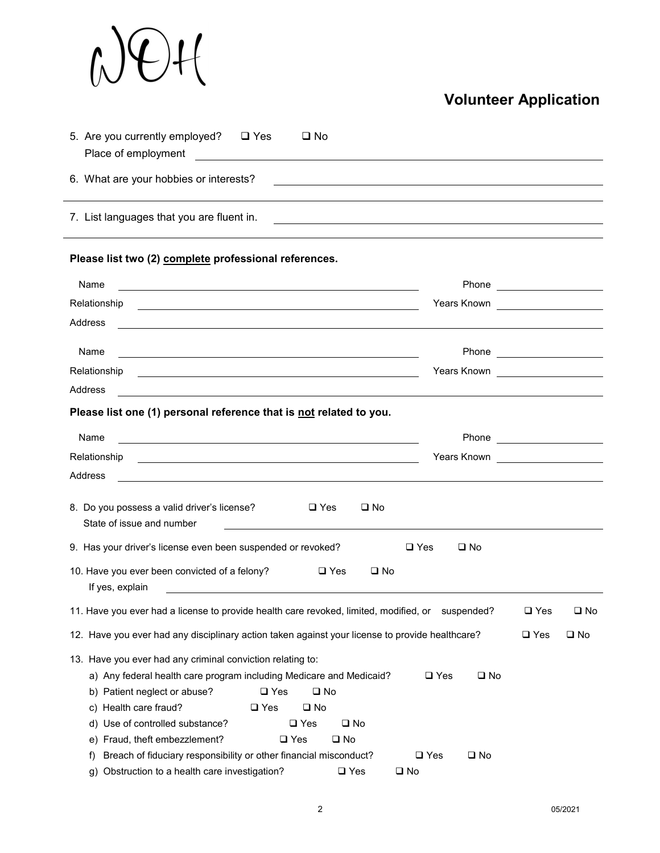

## **Volunteer Application**

| 5. Are you currently employed? □ Yes<br>$\square$ No                                                                                                                                                                                                                                                                                                                                                                                                                          |                                                                                                                                                                       |               |              |
|-------------------------------------------------------------------------------------------------------------------------------------------------------------------------------------------------------------------------------------------------------------------------------------------------------------------------------------------------------------------------------------------------------------------------------------------------------------------------------|-----------------------------------------------------------------------------------------------------------------------------------------------------------------------|---------------|--------------|
| 6. What are your hobbies or interests?                                                                                                                                                                                                                                                                                                                                                                                                                                        |                                                                                                                                                                       |               |              |
| 7. List languages that you are fluent in.                                                                                                                                                                                                                                                                                                                                                                                                                                     |                                                                                                                                                                       |               |              |
| Please list two (2) complete professional references.                                                                                                                                                                                                                                                                                                                                                                                                                         |                                                                                                                                                                       |               |              |
| Name<br><u> 1989 - Johann Stoff, deutscher Stoffen und der Stoffen und der Stoffen und der Stoffen und der Stoffen und der</u>                                                                                                                                                                                                                                                                                                                                                |                                                                                                                                                                       |               |              |
| Relationship                                                                                                                                                                                                                                                                                                                                                                                                                                                                  | Years Known <u>__________________</u>                                                                                                                                 |               |              |
| Address                                                                                                                                                                                                                                                                                                                                                                                                                                                                       |                                                                                                                                                                       |               |              |
| Name                                                                                                                                                                                                                                                                                                                                                                                                                                                                          |                                                                                                                                                                       |               |              |
| Relationship                                                                                                                                                                                                                                                                                                                                                                                                                                                                  | Years Known _____________________                                                                                                                                     |               |              |
| <u> 1980 - Johann Barn, fransk politik (f. 1980)</u><br>Address<br><u> 1989 - Johann Barbara, martin amerikan basal dan berasal dan berasal dalam basal dalam basal dalam basal dala</u>                                                                                                                                                                                                                                                                                      |                                                                                                                                                                       |               |              |
| Name<br>Address<br>8. Do you possess a valid driver's license?<br>$\Box$ Yes<br>$\square$ No<br>State of issue and number<br>9. Has your driver's license even been suspended or revoked?<br>10. Have you ever been convicted of a felony?<br>$\square$ Yes<br>$\square$ No<br>If yes, explain<br><u>and the contract of the contract of the contract of the contract of the contract of the contract of the contract of</u>                                                  | Years Known<br><u> Learney and the set of the set of the set of the set of the set of the set of the set of the set of the set o</u><br>$\square$ Yes<br>$\square$ No |               |              |
| 11. Have you ever had a license to provide health care revoked, limited, modified, or suspended?                                                                                                                                                                                                                                                                                                                                                                              |                                                                                                                                                                       | $\square$ Yes | $\square$ No |
| 12. Have you ever had any disciplinary action taken against your license to provide healthcare?                                                                                                                                                                                                                                                                                                                                                                               |                                                                                                                                                                       | $\square$ Yes | $\square$ No |
| 13. Have you ever had any criminal conviction relating to:<br>a) Any federal health care program including Medicare and Medicaid?<br>b) Patient neglect or abuse?<br>$\square$ Yes<br>$\square$ No<br>c) Health care fraud?<br>$\square$ No<br>$\square$ Yes<br>d) Use of controlled substance?<br>$\square$ Yes<br>$\square$ No<br>e) Fraud, theft embezzlement?<br>$\square$ Yes<br>$\square$ No<br>Breach of fiduciary responsibility or other financial misconduct?<br>t) | $\square$ Yes<br>$\square$ No<br>$\square$ Yes<br>$\square$ No                                                                                                        |               |              |
| Obstruction to a health care investigation?<br>$\square$ Yes<br>q)                                                                                                                                                                                                                                                                                                                                                                                                            | $\square$ No                                                                                                                                                          |               |              |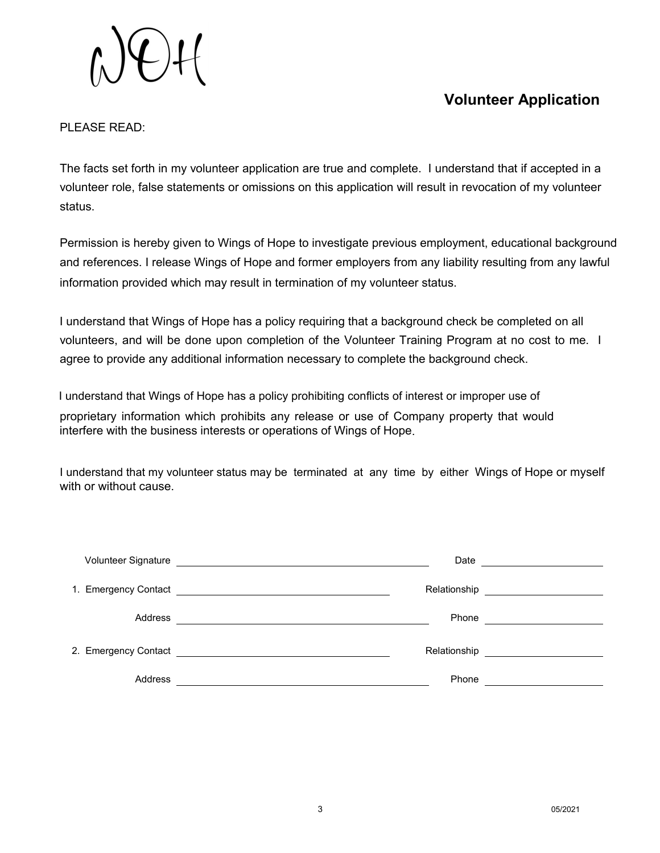### **Volunteer Application**

#### PLEASE READ:

The facts set forth in my volunteer application are true and complete. I understand that if accepted in a volunteer role, false statements or omissions on this application will result in revocation of my volunteer status.

information provided which may result in termination of my volunteer status. Permission is hereby given to Wings of Hope to investigate previous employment, educational background and references. I release Wings of Hope and former employers from any liability resulting from any lawful

volunteers, and will be done upon completion of the Volunteer Training Program at no cost to me. I agree to provide any additional information necessary to complete the background check. I understand that Wings of Hope has a policy requiring that a background check be completed on all

I understand that Wings of Hope has a policy prohibiting conflicts of interest or improper use of proprietary information which prohibits any release or use of Company property that would interfere with the business interests or operations of Wings of Hope.

I understand that my volunteer status may be terminated at any time by either Wings of Hope or myself with or without cause.

|                                                       | Date                                                                                                                 |         |
|-------------------------------------------------------|----------------------------------------------------------------------------------------------------------------------|---------|
| Relationship <u>____________________</u>              |                                                                                                                      |         |
| Phone <u>_____________</u>                            | <u> 1989 - Johann John Stein, markin fyrstu og fyrstu og fyrir og fyrir og fyrir og fyrir og fyrir og fyrir og f</u> | Address |
| Relationship <u>_________________________________</u> |                                                                                                                      |         |
|                                                       | Phone                                                                                                                | Address |